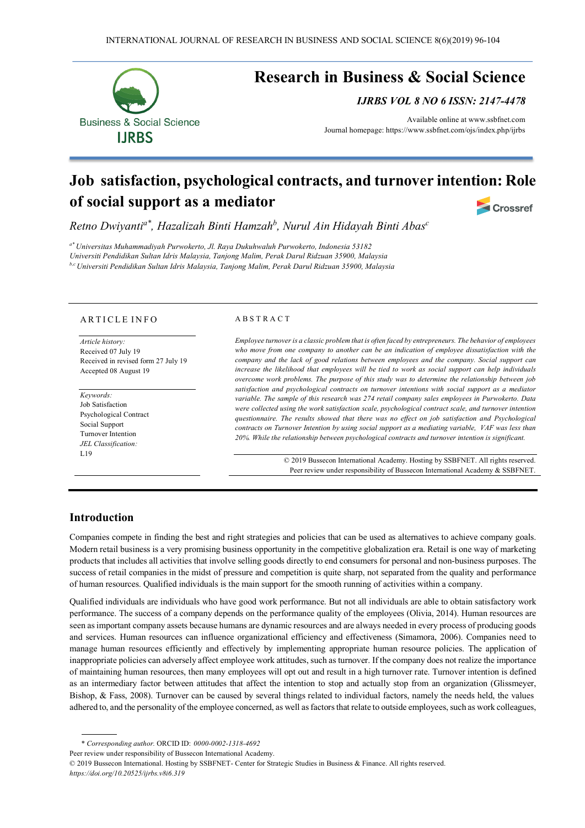

# **Job satisfaction, psychological contracts, and turnover intention: Role of social support as a mediator Crossref**

*Retno Dwiyantia\*, Hazalizah Binti Hamzahb, Nurul Ain Hidayah Binti Abasc*

*a\* Universitas Muhammadiyah Purwokerto, Jl. Raya Dukuhwaluh Purwokerto, Indonesia 53182 Universiti Pendidikan Sultan Idris Malaysia, Tanjong Malim, Perak Darul Ridzuan 35900, Malaysia b,cUniversiti Pendidikan Sultan Idris Malaysia, Tanjong Malim, Perak Darul Ridzuan 35900, Malaysia*

#### A R T I C L E IN FO

*Article history:*  Received 07 July 19 Received in revised form 27 July 19 Accepted 08 August 19

*Keywords:* Job Satisfaction Psychological Contract Social Support Turnover Intention *JEL Classification:* L19

#### A B S T R A C T

*Employee turnover is a classic problem that is often faced by entrepreneurs. The behavior of employees who move from one company to another can be an indication of employee dissatisfaction with the company and the lack of good relations between employees and the company. Social support can increase the likelihood that employees will be tied to work as social support can help individuals overcome work problems. The purpose of this study was to determine the relationship between job satisfaction and psychological contracts on turnover intentions with social support as a mediator variable. The sample of this research was 274 retail company sales employees in Purwokerto. Data were collected using the work satisfaction scale, psychological contract scale, and turnover intention questionnaire. The results showed that there was no effect on job satisfaction and Psychological contracts on Turnover Intention by using social support as a mediating variable, VAF was less than 20%. While the relationship between psychological contracts and turnover intention is significant.*

> © 2019 Bussecon International Academy. Hosting by SSBFNET. All rights reserved. Peer review under responsibility of Bussecon International Academy & SSBFNET.

## **Introduction**

Companies compete in finding the best and right strategies and policies that can be used as alternatives to achieve company goals. Modern retail business is a very promising business opportunity in the competitive globalization era. Retail is one way of marketing products that includes all activities that involve selling goods directly to end consumers for personal and non-business purposes. The success of retail companies in the midst of pressure and competition is quite sharp, not separated from the quality and performance of human resources. Qualified individuals is the main support for the smooth running of activities within a company.

Qualified individuals are individuals who have good work performance. But not all individuals are able to obtain satisfactory work performance. The success of a company depends on the performance quality of the employees (Olivia, 2014). Human resources are seen as important company assets because humans are dynamic resources and are always needed in every process of producing goods and services. Human resources can influence organizational efficiency and effectiveness (Simamora, 2006). Companies need to manage human resources efficiently and effectively by implementing appropriate human resource policies. The application of inappropriate policies can adversely affect employee work attitudes, such as turnover. If the company does not realize the importance of maintaining human resources, then many employees will opt out and result in a high turnover rate. Turnover intention is defined as an intermediary factor between attitudes that affect the intention to stop and actually stop from an organization (Glissmeyer, Bishop, & Fass, 2008). Turnover can be caused by several things related to individual factors, namely the needs held, the values adhered to, and the personality of the employee concerned, as well as factors that relate to outside employees, such as work colleagues,

Peer review under responsibility of Bussecon International Academy.

<sup>\*</sup> *Corresponding author.* ORCID ID: *0000-0002-1318-4692*

<sup>© 2019</sup> Bussecon International. Hosting by SSBFNET- Center for Strategic Studies in Business & Finance. All rights reserved. *https://doi.org/10.20525/ijrbs.v8i6.319*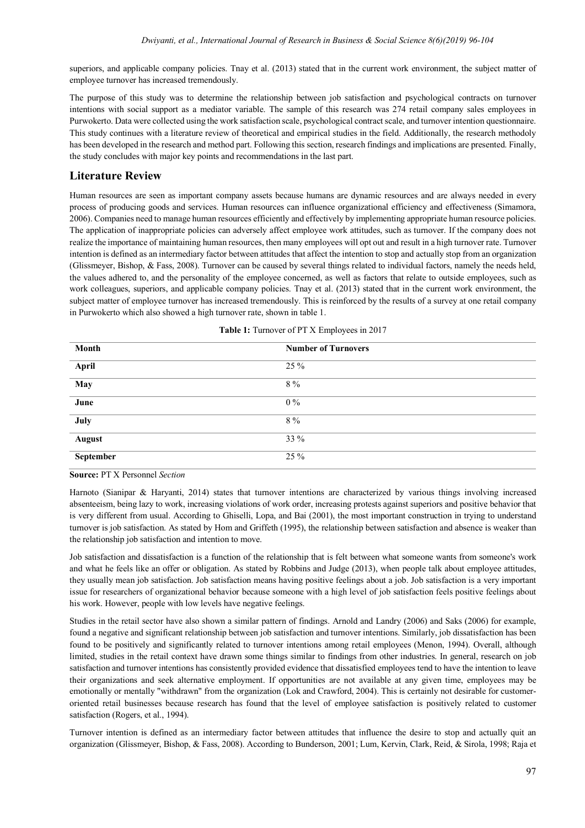superiors, and applicable company policies. Tnay et al. (2013) stated that in the current work environment, the subject matter of employee turnover has increased tremendously.

The purpose of this study was to determine the relationship between job satisfaction and psychological contracts on turnover intentions with social support as a mediator variable. The sample of this research was 274 retail company sales employees in Purwokerto. Data were collected using the work satisfaction scale, psychological contract scale, and turnover intention questionnaire. This study continues with a literature review of theoretical and empirical studies in the field. Additionally, the research methodoly has been developed in the research and method part. Following this section, research findings and implications are presented. Finally, the study concludes with major key points and recommendations in the last part.

## **Literature Review**

Human resources are seen as important company assets because humans are dynamic resources and are always needed in every process of producing goods and services. Human resources can influence organizational efficiency and effectiveness (Simamora, 2006). Companies need to manage human resources efficiently and effectively by implementing appropriate human resource policies. The application of inappropriate policies can adversely affect employee work attitudes, such as turnover. If the company does not realize the importance of maintaining human resources, then many employees will opt out and result in a high turnover rate. Turnover intention is defined as an intermediary factor between attitudes that affect the intention to stop and actually stop from an organization (Glissmeyer, Bishop, & Fass, 2008). Turnover can be caused by several things related to individual factors, namely the needs held, the values adhered to, and the personality of the employee concerned, as well as factors that relate to outside employees, such as work colleagues, superiors, and applicable company policies. Tnay et al. (2013) stated that in the current work environment, the subject matter of employee turnover has increased tremendously. This is reinforced by the results of a survey at one retail company in Purwokerto which also showed a high turnover rate, shown in table 1.

| Month                   | <b>Number of Turnovers</b> |
|-------------------------|----------------------------|
| April                   | 25 %                       |
| $\overline{$ May        | 8 %                        |
| $\frac{1}{\text{June}}$ | $0\%$                      |
| July                    | $8\%$                      |
| <b>August</b>           | 33 %                       |
| September               | 25 %                       |

| Table 1: Turnover of PT X Employees in 2017 |  |  |
|---------------------------------------------|--|--|
|---------------------------------------------|--|--|

**Source:** PT X Personnel *Section*

Harnoto (Sianipar & Haryanti, 2014) states that turnover intentions are characterized by various things involving increased absenteeism, being lazy to work, increasing violations of work order, increasing protests against superiors and positive behavior that is very different from usual. According to Ghiselli, Lopa, and Bai (2001), the most important construction in trying to understand turnover is job satisfaction. As stated by Hom and Griffeth (1995), the relationship between satisfaction and absence is weaker than the relationship job satisfaction and intention to move.

Job satisfaction and dissatisfaction is a function of the relationship that is felt between what someone wants from someone's work and what he feels like an offer or obligation. As stated by Robbins and Judge (2013), when people talk about employee attitudes, they usually mean job satisfaction. Job satisfaction means having positive feelings about a job. Job satisfaction is a very important issue for researchers of organizational behavior because someone with a high level of job satisfaction feels positive feelings about his work. However, people with low levels have negative feelings.

Studies in the retail sector have also shown a similar pattern of findings. Arnold and Landry (2006) and Saks (2006) for example, found a negative and significant relationship between job satisfaction and turnover intentions. Similarly, job dissatisfaction has been found to be positively and significantly related to turnover intentions among retail employees (Menon, 1994). Overall, although limited, studies in the retail context have drawn some things similar to findings from other industries. In general, research on job satisfaction and turnover intentions has consistently provided evidence that dissatisfied employees tend to have the intention to leave their organizations and seek alternative employment. If opportunities are not available at any given time, employees may be emotionally or mentally "withdrawn" from the organization (Lok and Crawford, 2004). This is certainly not desirable for customeroriented retail businesses because research has found that the level of employee satisfaction is positively related to customer satisfaction (Rogers, et al., 1994).

Turnover intention is defined as an intermediary factor between attitudes that influence the desire to stop and actually quit an organization (Glissmeyer, Bishop, & Fass, 2008). According to Bunderson, 2001; Lum, Kervin, Clark, Reid, & Sirola, 1998; Raja et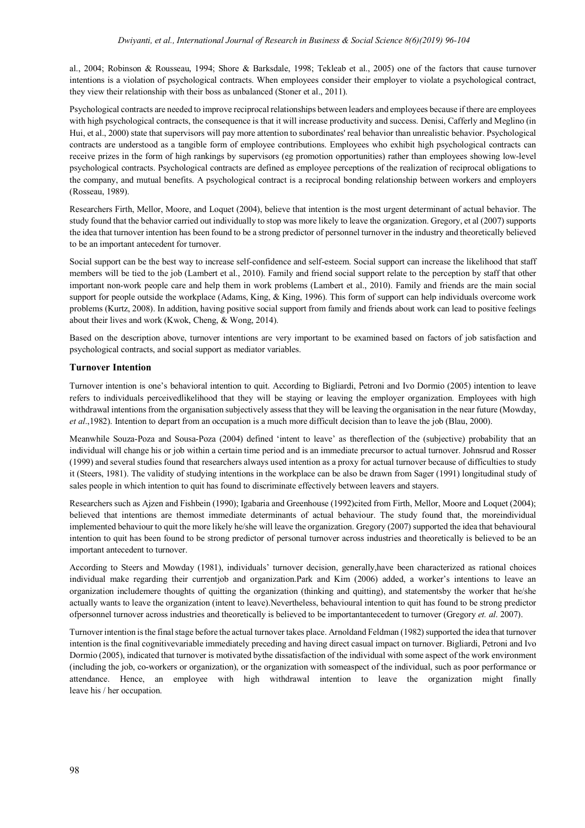al., 2004; Robinson & Rousseau, 1994; Shore & Barksdale, 1998; Tekleab et al., 2005) one of the factors that cause turnover intentions is a violation of psychological contracts. When employees consider their employer to violate a psychological contract, they view their relationship with their boss as unbalanced (Stoner et al., 2011).

Psychological contracts are needed to improve reciprocal relationships between leaders and employees because if there are employees with high psychological contracts, the consequence is that it will increase productivity and success. Denisi, Cafferly and Meglino (in Hui, et al., 2000) state that supervisors will pay more attention to subordinates' real behavior than unrealistic behavior. Psychological contracts are understood as a tangible form of employee contributions. Employees who exhibit high psychological contracts can receive prizes in the form of high rankings by supervisors (eg promotion opportunities) rather than employees showing low-level psychological contracts. Psychological contracts are defined as employee perceptions of the realization of reciprocal obligations to the company, and mutual benefits. A psychological contract is a reciprocal bonding relationship between workers and employers (Rosseau, 1989).

Researchers Firth, Mellor, Moore, and Loquet (2004), believe that intention is the most urgent determinant of actual behavior. The study found that the behavior carried out individually to stop was more likely to leave the organization. Gregory, et al (2007) supports the idea that turnover intention has been found to be a strong predictor of personnel turnover in the industry and theoretically believed to be an important antecedent for turnover.

Social support can be the best way to increase self-confidence and self-esteem. Social support can increase the likelihood that staff members will be tied to the job (Lambert et al., 2010). Family and friend social support relate to the perception by staff that other important non-work people care and help them in work problems (Lambert et al., 2010). Family and friends are the main social support for people outside the workplace (Adams, King, & King, 1996). This form of support can help individuals overcome work problems (Kurtz, 2008). In addition, having positive social support from family and friends about work can lead to positive feelings about their lives and work (Kwok, Cheng, & Wong, 2014).

Based on the description above, turnover intentions are very important to be examined based on factors of job satisfaction and psychological contracts, and social support as mediator variables.

#### **Turnover Intention**

Turnover intention is one's behavioral intention to quit. According to Bigliardi, Petroni and Ivo Dormio (2005) intention to leave refers to individuals perceivedlikelihood that they will be staying or leaving the employer organization. Employees with high withdrawal intentions from the organisation subjectively assess that they will be leaving the organisation in the near future (Mowday, *et al*.,1982). Intention to depart from an occupation is a much more difficult decision than to leave the job (Blau, 2000).

Meanwhile Souza-Poza and Sousa-Poza (2004) defined 'intent to leave' as thereflection of the (subjective) probability that an individual will change his or job within a certain time period and is an immediate precursor to actual turnover. Johnsrud and Rosser (1999) and several studies found that researchers always used intention as a proxy for actual turnover because of difficulties to study it (Steers, 1981). The validity of studying intentions in the workplace can be also be drawn from Sager (1991) longitudinal study of sales people in which intention to quit has found to discriminate effectively between leavers and stayers.

Researchers such as Ajzen and Fishbein (1990); Igabaria and Greenhouse (1992)cited from Firth, Mellor, Moore and Loquet (2004); believed that intentions are themost immediate determinants of actual behaviour. The study found that, the moreindividual implemented behaviour to quit the more likely he/she will leave the organization. Gregory (2007) supported the idea that behavioural intention to quit has been found to be strong predictor of personal turnover across industries and theoretically is believed to be an important antecedent to turnover.

According to Steers and Mowday (1981), individuals' turnover decision, generally,have been characterized as rational choices individual make regarding their currentjob and organization.Park and Kim (2006) added, a worker's intentions to leave an organization includemere thoughts of quitting the organization (thinking and quitting), and statementsby the worker that he/she actually wants to leave the organization (intent to leave).Nevertheless, behavioural intention to quit has found to be strong predictor ofpersonnel turnover across industries and theoretically is believed to be importantantecedent to turnover (Gregory *et. al*. 2007).

Turnover intention is the final stage before the actual turnover takes place. Arnoldand Feldman (1982) supported the idea that turnover intention is the final cognitivevariable immediately preceding and having direct casual impact on turnover. Bigliardi, Petroni and Ivo Dormio (2005), indicated that turnover is motivated bythe dissatisfaction of the individual with some aspect of the work environment (including the job, co-workers or organization), or the organization with someaspect of the individual, such as poor performance or attendance. Hence, an employee with high withdrawal intention to leave the organization might finally leave his / her occupation.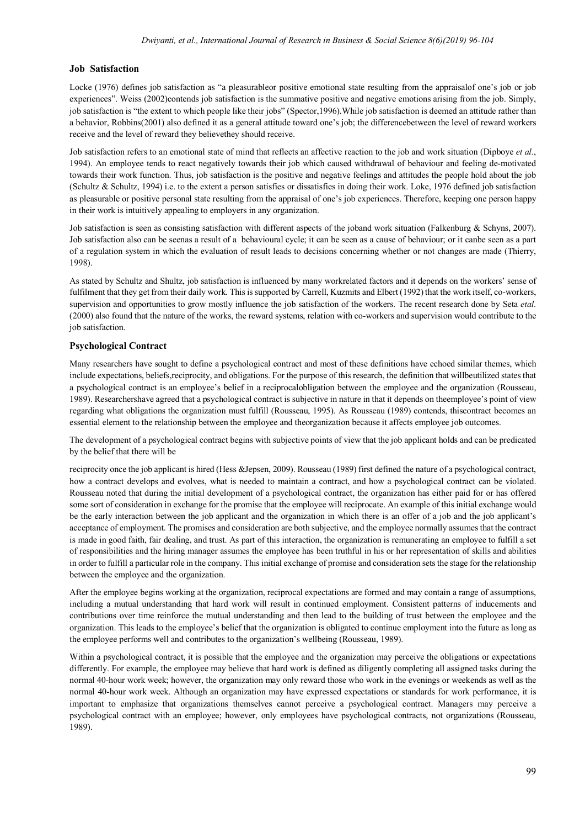### **Job Satisfaction**

Locke (1976) defines job satisfaction as "a pleasurableor positive emotional state resulting from the appraisalof one's job or job experiences". Weiss (2002)contends job satisfaction is the summative positive and negative emotions arising from the job. Simply, job satisfaction is "the extent to which people like their jobs" (Spector,1996).While job satisfaction is deemed an attitude rather than a behavior, Robbins(2001) also defined it as a general attitude toward one's job; the differencebetween the level of reward workers receive and the level of reward they believethey should receive.

Job satisfaction refers to an emotional state of mind that reflects an affective reaction to the job and work situation (Dipboye *et al.*, 1994). An employee tends to react negatively towards their job which caused withdrawal of behaviour and feeling de-motivated towards their work function. Thus, job satisfaction is the positive and negative feelings and attitudes the people hold about the job (Schultz & Schultz, 1994) i.e. to the extent a person satisfies or dissatisfies in doing their work. Loke, 1976 defined job satisfaction as pleasurable or positive personal state resulting from the appraisal of one's job experiences. Therefore, keeping one person happy in their work is intuitively appealing to employers in any organization.

Job satisfaction is seen as consisting satisfaction with different aspects of the joband work situation (Falkenburg & Schyns, 2007). Job satisfaction also can be seenas a result of a behavioural cycle; it can be seen as a cause of behaviour; or it canbe seen as a part of a regulation system in which the evaluation of result leads to decisions concerning whether or not changes are made (Thierry, 1998).

As stated by Schultz and Shultz, job satisfaction is influenced by many workrelated factors and it depends on the workers' sense of fulfilment that they get from their daily work. This is supported by Carrell, Kuzmits and Elbert (1992) that the work itself, co-workers, supervision and opportunities to grow mostly influence the job satisfaction of the workers. The recent research done by Seta *etal*. (2000) also found that the nature of the works, the reward systems, relation with co-workers and supervision would contribute to the job satisfaction.

## **Psychological Contract**

Many researchers have sought to define a psychological contract and most of these definitions have echoed similar themes, which include expectations, beliefs,reciprocity, and obligations. For the purpose of this research, the definition that willbeutilized states that a psychological contract is an employee's belief in a reciprocalobligation between the employee and the organization (Rousseau, 1989). Researchershave agreed that a psychological contract is subjective in nature in that it depends on theemployee's point of view regarding what obligations the organization must fulfill (Rousseau, 1995). As Rousseau (1989) contends, thiscontract becomes an essential element to the relationship between the employee and theorganization because it affects employee job outcomes.

The development of a psychological contract begins with subjective points of view that the job applicant holds and can be predicated by the belief that there will be

reciprocity once the job applicant is hired (Hess &Jepsen, 2009). Rousseau (1989) first defined the nature of a psychological contract, how a contract develops and evolves, what is needed to maintain a contract, and how a psychological contract can be violated. Rousseau noted that during the initial development of a psychological contract, the organization has either paid for or has offered some sort of consideration in exchange for the promise that the employee will reciprocate. An example of this initial exchange would be the early interaction between the job applicant and the organization in which there is an offer of a job and the job applicant's acceptance of employment. The promises and consideration are both subjective, and the employee normally assumes that the contract is made in good faith, fair dealing, and trust. As part of this interaction, the organization is remunerating an employee to fulfill a set of responsibilities and the hiring manager assumes the employee has been truthful in his or her representation of skills and abilities in order to fulfill a particular role in the company. This initial exchange of promise and consideration sets the stage for the relationship between the employee and the organization.

After the employee begins working at the organization, reciprocal expectations are formed and may contain a range of assumptions, including a mutual understanding that hard work will result in continued employment. Consistent patterns of inducements and contributions over time reinforce the mutual understanding and then lead to the building of trust between the employee and the organization. This leads to the employee's belief that the organization is obligated to continue employment into the future as long as the employee performs well and contributes to the organization's wellbeing (Rousseau, 1989).

Within a psychological contract, it is possible that the employee and the organization may perceive the obligations or expectations differently. For example, the employee may believe that hard work is defined as diligently completing all assigned tasks during the normal 40-hour work week; however, the organization may only reward those who work in the evenings or weekends as well as the normal 40-hour work week. Although an organization may have expressed expectations or standards for work performance, it is important to emphasize that organizations themselves cannot perceive a psychological contract. Managers may perceive a psychological contract with an employee; however, only employees have psychological contracts, not organizations (Rousseau, 1989).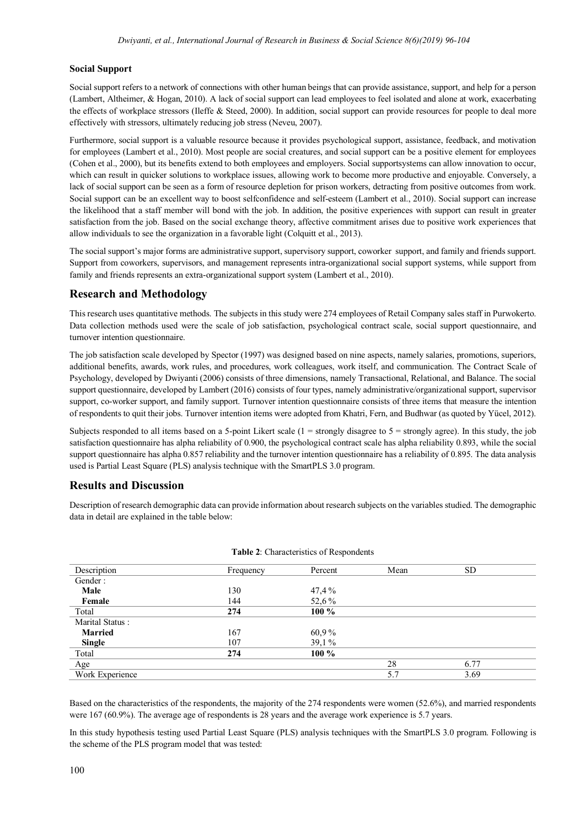## **Social Support**

Social support refers to a network of connections with other human beings that can provide assistance, support, and help for a person (Lambert, Altheimer, & Hogan, 2010). A lack of social support can lead employees to feel isolated and alone at work, exacerbating the effects of workplace stressors (Ileffe & Steed, 2000). In addition, social support can provide resources for people to deal more effectively with stressors, ultimately reducing job stress (Neveu, 2007).

Furthermore, social support is a valuable resource because it provides psychological support, assistance, feedback, and motivation for employees (Lambert et al., 2010). Most people are social creatures, and social support can be a positive element for employees (Cohen et al., 2000), but its benefits extend to both employees and employers. Social supportsystems can allow innovation to occur, which can result in quicker solutions to workplace issues, allowing work to become more productive and enjoyable. Conversely, a lack of social support can be seen as a form of resource depletion for prison workers, detracting from positive outcomes from work. Social support can be an excellent way to boost selfconfidence and self-esteem (Lambert et al., 2010). Social support can increase the likelihood that a staff member will bond with the job. In addition, the positive experiences with support can result in greater satisfaction from the job. Based on the social exchange theory, affective commitment arises due to positive work experiences that allow individuals to see the organization in a favorable light (Colquitt et al., 2013).

The social support's major forms are administrative support, supervisory support, coworker support, and family and friends support. Support from coworkers, supervisors, and management represents intra-organizational social support systems, while support from family and friends represents an extra-organizational support system (Lambert et al., 2010).

# **Research and Methodology**

This research uses quantitative methods. The subjects in this study were 274 employees of Retail Company sales staff in Purwokerto. Data collection methods used were the scale of job satisfaction, psychological contract scale, social support questionnaire, and turnover intention questionnaire.

The job satisfaction scale developed by Spector (1997) was designed based on nine aspects, namely salaries, promotions, superiors, additional benefits, awards, work rules, and procedures, work colleagues, work itself, and communication. The Contract Scale of Psychology, developed by Dwiyanti (2006) consists of three dimensions, namely Transactional, Relational, and Balance. The social support questionnaire, developed by Lambert (2016) consists of four types, namely administrative/organizational support, supervisor support, co-worker support, and family support. Turnover intention questionnaire consists of three items that measure the intention of respondents to quit their jobs. Turnover intention items were adopted from Khatri, Fern, and Budhwar (as quoted by Yücel, 2012).

Subjects responded to all items based on a 5-point Likert scale  $(1 =$  strongly disagree to  $5 =$  strongly agree). In this study, the job satisfaction questionnaire has alpha reliability of 0.900, the psychological contract scale has alpha reliability 0.893, while the social support questionnaire has alpha 0.857 reliability and the turnover intention questionnaire has a reliability of 0.895. The data analysis used is Partial Least Square (PLS) analysis technique with the SmartPLS 3.0 program.

# **Results and Discussion**

Description of research demographic data can provide information about research subjects on the variables studied. The demographic data in detail are explained in the table below:

| Description     | Frequency | Percent | Mean | <b>SD</b> |  |
|-----------------|-----------|---------|------|-----------|--|
| Gender:         |           |         |      |           |  |
| Male            | 130       | 47,4%   |      |           |  |
| Female          | 144       | 52,6%   |      |           |  |
| Total           | 274       | $100\%$ |      |           |  |
| Marital Status: |           |         |      |           |  |
| <b>Married</b>  | 167       | 60,9%   |      |           |  |
| <b>Single</b>   | 107       | 39,1%   |      |           |  |
| Total           | 274       | $100\%$ |      |           |  |
| Age             |           |         | 28   | 6.77      |  |
| Work Experience |           |         | 5.7  | 3.69      |  |

|  | Table 2: Characteristics of Respondents |
|--|-----------------------------------------|
|  |                                         |

Based on the characteristics of the respondents, the majority of the 274 respondents were women (52.6%), and married respondents were 167 (60.9%). The average age of respondents is 28 years and the average work experience is 5.7 years.

In this study hypothesis testing used Partial Least Square (PLS) analysis techniques with the SmartPLS 3.0 program. Following is the scheme of the PLS program model that was tested: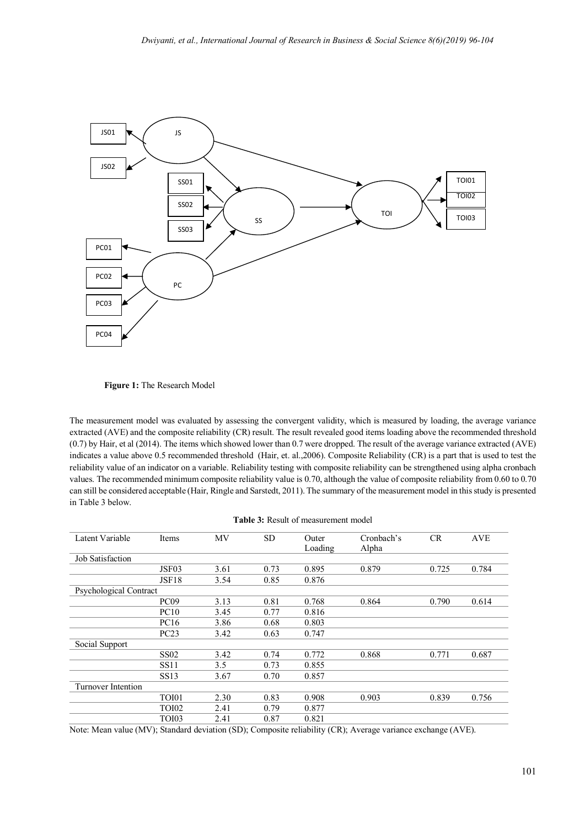

**Figure 1:** The Research Model

The measurement model was evaluated by assessing the convergent validity, which is measured by loading, the average variance extracted (AVE) and the composite reliability (CR) result. The result revealed good items loading above the recommended threshold (0.7) by Hair, et al (2014). The items which showed lower than 0.7 were dropped. The result of the average variance extracted (AVE) indicates a value above 0.5 recommended threshold (Hair, et. al.,2006). Composite Reliability (CR) is a part that is used to test the reliability value of an indicator on a variable. Reliability testing with composite reliability can be strengthened using alpha cronbach values. The recommended minimum composite reliability value is 0.70, although the value of composite reliability from 0.60 to 0.70 can still be considered acceptable (Hair, Ringle and Sarstedt, 2011). The summary of the measurement model in this study is presented in Table 3 below.

| Latent Variable         | Items             | MV   | <b>SD</b> | Outer   | Cronbach's | <b>CR</b> | <b>AVE</b> |
|-------------------------|-------------------|------|-----------|---------|------------|-----------|------------|
|                         |                   |      |           | Loading | Alpha      |           |            |
| <b>Job Satisfaction</b> |                   |      |           |         |            |           |            |
|                         | JSF <sub>03</sub> | 3.61 | 0.73      | 0.895   | 0.879      | 0.725     | 0.784      |
|                         | JSF18             | 3.54 | 0.85      | 0.876   |            |           |            |
| Psychological Contract  |                   |      |           |         |            |           |            |
|                         | PC <sub>09</sub>  | 3.13 | 0.81      | 0.768   | 0.864      | 0.790     | 0.614      |
|                         | PC10              | 3.45 | 0.77      | 0.816   |            |           |            |
|                         | <b>PC16</b>       | 3.86 | 0.68      | 0.803   |            |           |            |
|                         | PC23              | 3.42 | 0.63      | 0.747   |            |           |            |
| Social Support          |                   |      |           |         |            |           |            |
|                         | <b>SS02</b>       | 3.42 | 0.74      | 0.772   | 0.868      | 0.771     | 0.687      |
|                         | <b>SS11</b>       | 3.5  | 0.73      | 0.855   |            |           |            |
|                         | <b>SS13</b>       | 3.67 | 0.70      | 0.857   |            |           |            |
| Turnover Intention      |                   |      |           |         |            |           |            |
|                         | TOI01             | 2.30 | 0.83      | 0.908   | 0.903      | 0.839     | 0.756      |
|                         | <b>TOI02</b>      | 2.41 | 0.79      | 0.877   |            |           |            |
|                         | <b>TOI03</b>      | 2.41 | 0.87      | 0.821   |            |           |            |

Note: Mean value (MV); Standard deviation (SD); Composite reliability (CR); Average variance exchange (AVE).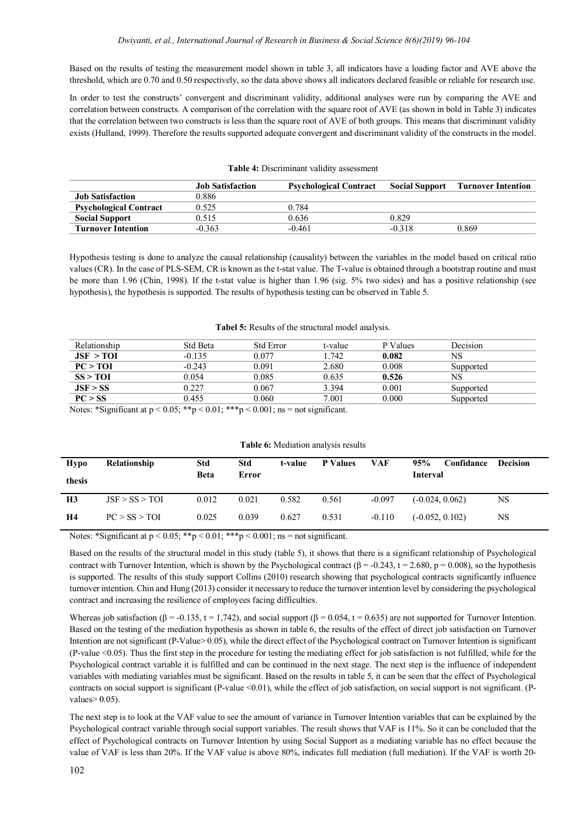Based on the results of testing the measurement model shown in table 3, all indicators have a loading factor and AVE above the threshold, which are 0.70 and 0.50 respectively, so the data above shows all indicators declared feasible or reliable for research use.

In order to test the constructs' convergent and discriminant validity, additional analyses were run by comparing the AVE and correlation between constructs. A comparison of the correlation with the square root of AVE (as shown in bold in Table 3) indicates that the correlation between two constructs is less than the square root of AVE of both groups. This means that discriminant validity exists (Hulland, 1999). Therefore the results supported adequate convergent and discriminant validity of the constructs in the model.

|                               | <b>Job Satisfaction</b> | <b>Psychological Contract</b> | <b>Social Support</b> | <b>Turnover Intention</b> |
|-------------------------------|-------------------------|-------------------------------|-----------------------|---------------------------|
| <b>Job Satisfaction</b>       | 0.886                   |                               |                       |                           |
| <b>Psychological Contract</b> | 0.525                   | 0.784                         |                       |                           |
| <b>Social Support</b>         | 0.515                   | 0.636                         | 0.829                 |                           |
| <b>Turnover Intention</b>     | $-0.363$                | $-0.461$                      | $-0.318$              | 0.869                     |

### **Table 4:** Discriminant validity assessment

Hypothesis testing is done to analyze the causal relationship (causality) between the variables in the model based on critical ratio values (CR). In the case of PLS-SEM, CR is known as the t-stat value. The T-value is obtained through a bootstrap routine and must be more than 1.96 (Chin, 1998). If the t-stat value is higher than 1.96 (sig. 5% two sides) and has a positive relationship (see hypothesis), the hypothesis is supported. The results of hypothesis testing can be observed in Table 5.

#### **Tabel 5:** Results of the structural model analysis.

| Relationship                                                                                                                                                                                                            | Std Beta | <b>Std Error</b> | t-value | P Values | Decision  |
|-------------------------------------------------------------------------------------------------------------------------------------------------------------------------------------------------------------------------|----------|------------------|---------|----------|-----------|
| JSF > TOI                                                                                                                                                                                                               | $-0.135$ | 0.077            | 1.742   | 0.082    | NS        |
| PC > TOI                                                                                                                                                                                                                | $-0.243$ | 0.091            | 2.680   | 0.008    | Supported |
| SS > TOI                                                                                                                                                                                                                | 0.054    | 0.085            | 0.635   | 0.526    | NS        |
| JSF > SS                                                                                                                                                                                                                | 0.227    | 0.067            | 3.394   | 0.001    | Supported |
| PC > SS                                                                                                                                                                                                                 | 0.455    | 0.060            | 7.001   | 0.000    | Supported |
| Matan $\mathcal{R}$ and $\mathcal{L}_{\text{cont}}$ of $\mu > 0$ $0.5$ , $\mathcal{R}_{\text{tot}} > 0.01$ , $\mathcal{R}_{\text{tot}} > 0.001$ , $\mu_{\text{tot}} = \mu_{\text{tot}}$ and $\mathcal{L}_{\text{cont}}$ |          |                  |         |          |           |

Notes: \*Significant at  $p < 0.05$ ; \*\* $p < 0.01$ ; \*\*\* $p < 0.001$ ; ns = not significant.

| <b>Table 6:</b> Mediation analysis results |
|--------------------------------------------|
|--------------------------------------------|

| Hypo<br>thesis | Relationship   | Std<br><b>Beta</b> | Std<br>Error | t-value | <b>P</b> Values | VAF      | 95%<br>Interval   | Confidance | <b>Decision</b> |
|----------------|----------------|--------------------|--------------|---------|-----------------|----------|-------------------|------------|-----------------|
| H <sub>3</sub> | JSF > SS > TOI | 0.012              | 0.021        | 0.582   | 0.561           | $-0.097$ | $(-0.024, 0.062)$ |            | NS              |
| H4             | PC > SS > TOI  | 0.025              | 0.039        | 0.627   | 0.531           | $-0.110$ | $(-0.052, 0.102)$ |            | NS              |

Notes: \*Significant at  $p < 0.05$ ; \*\* $p < 0.01$ ; \*\*\* $p < 0.001$ ; ns = not significant.

Based on the results of the structural model in this study (table 5), it shows that there is a significant relationship of Psychological contract with Turnover Intention, which is shown by the Psychological contract ( $\beta = -0.243$ ,  $t = 2.680$ ,  $p = 0.008$ ), so the hypothesis is supported. The results of this study support Collins (2010) research showing that psychological contracts significantly influence turnover intention. Chin and Hung (2013) consider it necessary to reduce the turnover intention level by considering the psychological contract and increasing the resilience of employees facing difficulties.

Whereas job satisfaction ( $\beta = -0.135$ ,  $t = 1,742$ ), and social support ( $\beta = 0.054$ ,  $t = 0.635$ ) are not supported for Turnover Intention. Based on the testing of the mediation hypothesis as shown in table 6, the results of the effect of direct job satisfaction on Turnover Intention are not significant (P-Value> 0.05), while the direct effect of the Psychological contract on Turnover Intention is significant (P-value <0.05). Thus the first step in the procedure for testing the mediating effect for job satisfaction is not fulfilled, while for the Psychological contract variable it is fulfilled and can be continued in the next stage. The next step is the influence of independent variables with mediating variables must be significant. Based on the results in table 5, it can be seen that the effect of Psychological contracts on social support is significant (P-value <0.01), while the effect of job satisfaction, on social support is not significant. (Pvalues $> 0.05$ ).

The next step is to look at the VAF value to see the amount of variance in Turnover Intention variables that can be explained by the Psychological contract variable through social support variables. The result shows that VAF is 11%. So it can be concluded that the effect of Psychological contracts on Turnover Intention by using Social Support as a mediating variable has no effect because the value of VAF is less than 20%. If the VAF value is above 80%, indicates full mediation (full mediation). If the VAF is worth 20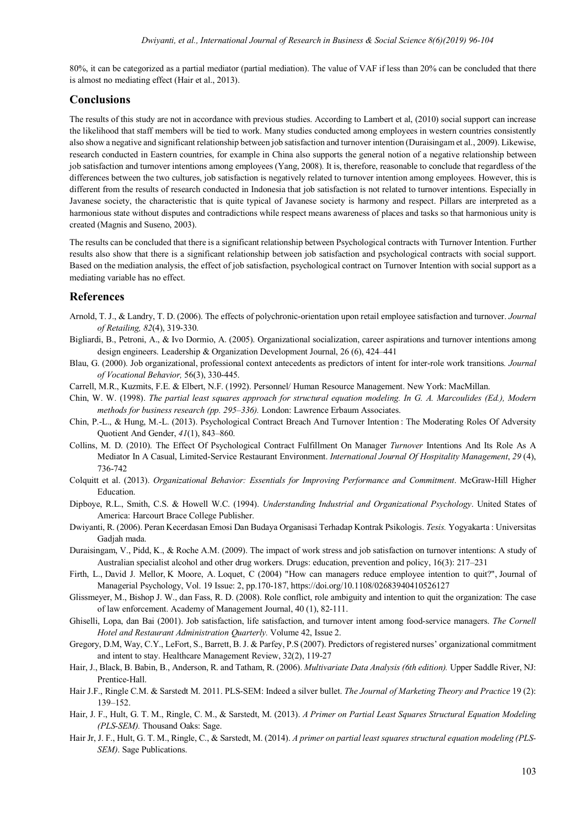80%, it can be categorized as a partial mediator (partial mediation). The value of VAF if less than 20% can be concluded that there is almost no mediating effect (Hair et al., 2013).

## **Conclusions**

The results of this study are not in accordance with previous studies. According to Lambert et al, (2010) social support can increase the likelihood that staff members will be tied to work. Many studies conducted among employees in western countries consistently also show a negative and significant relationship between job satisfaction and turnover intention (Duraisingam et al., 2009). Likewise, research conducted in Eastern countries, for example in China also supports the general notion of a negative relationship between job satisfaction and turnover intentions among employees (Yang, 2008). It is, therefore, reasonable to conclude that regardless of the differences between the two cultures, job satisfaction is negatively related to turnover intention among employees. However, this is different from the results of research conducted in Indonesia that job satisfaction is not related to turnover intentions. Especially in Javanese society, the characteristic that is quite typical of Javanese society is harmony and respect. Pillars are interpreted as a harmonious state without disputes and contradictions while respect means awareness of places and tasks so that harmonious unity is created (Magnis and Suseno, 2003).

The results can be concluded that there is a significant relationship between Psychological contracts with Turnover Intention. Further results also show that there is a significant relationship between job satisfaction and psychological contracts with social support. Based on the mediation analysis, the effect of job satisfaction, psychological contract on Turnover Intention with social support as a mediating variable has no effect.

## **References**

- Arnold, T. J., & Landry, T. D. (2006). The effects of polychronic-orientation upon retail employee satisfaction and turnover. *Journal of Retailing, 82*(4), 319-330.
- Bigliardi, B., Petroni, A., & Ivo Dormio, A. (2005). Organizational socialization, career aspirations and turnover intentions among design engineers. Leadership & Organization Development Journal, 26 (6), 424–441
- Blau, G. (2000). Job organizational, professional context antecedents as predictors of intent for inter-role work transitions*. Journal of Vocational Behavior,* 56(3), 330-445.
- Carrell, M.R., Kuzmits, F.E. & Elbert, N.F. (1992). Personnel/ Human Resource Management. New York: MacMillan.
- Chin, W. W. (1998). *The partial least squares approach for structural equation modeling. In G. A. Marcoulides (Ed.), Modern methods for business research (pp. 295–336).* London: Lawrence Erbaum Associates.
- Chin, P.-L., & Hung, M.-L. (2013). Psychological Contract Breach And Turnover Intention : The Moderating Roles Of Adversity Quotient And Gender, *41*(1), 843–860.
- Collins, M. D. (2010). The Effect Of Psychological Contract Fulfillment On Manager *Turnover* Intentions And Its Role As A Mediator In A Casual, Limited-Service Restaurant Environment. *International Journal Of Hospitality Management*, *29* (4), 736-742
- Colquitt et al. (2013). *Organizational Behavior: Essentials for Improving Performance and Commitment*. McGraw-Hill Higher Education.
- Dipboye, R.L., Smith, C.S. & Howell W.C. (1994). *Understanding Industrial and Organizational Psychology*. United States of America: Harcourt Brace College Publisher.
- Dwiyanti, R. (2006). Peran Kecerdasan Emosi Dan Budaya Organisasi Terhadap Kontrak Psikologis. *Tesis.* Yogyakarta : Universitas Gadjah mada.
- Duraisingam, V., Pidd, K., & Roche A.M. (2009). The impact of work stress and job satisfaction on turnover intentions: A study of Australian specialist alcohol and other drug workers. Drugs: education, prevention and policy, 16(3): 217–231
- Firth, L., David J. Mellor, K Moore, A. Loquet, C (2004) "How can managers reduce employee intention to quit?", Journal of Managerial Psychology, Vol. 19 Issue: 2, pp.170-187, https://doi.org/10.1108/02683940410526127
- Glissmeyer, M., Bishop J. W., dan Fass, R. D. (2008). Role conflict, role ambiguity and intention to quit the organization: The case of law enforcement. Academy of Management Journal, 40 (1), 82-111.
- Ghiselli, Lopa, dan Bai (2001). Job satisfaction, life satisfaction, and turnover intent among food-service managers. *The Cornell Hotel and Restaurant Administration Quarterly.* Volume 42, Issue 2.
- Gregory, D.M, Way, C.Y., LeFort, S., Barrett, B. J. & Parfey, P.S (2007). Predictors of registered nurses' organizational commitment and intent to stay. Healthcare Management Review, 32(2), 119-27
- Hair, J., Black, B. Babin, B., Anderson, R. and Tatham, R. (2006). *Multivariate Data Analysis (6th edition).* Upper Saddle River, NJ: Prentice-Hall.
- Hair J.F., Ringle C.M. & Sarstedt M. 2011. PLS-SEM: Indeed a silver bullet. *The Journal of Marketing Theory and Practice* 19 (2): 139–152.
- Hair, J. F., Hult, G. T. M., Ringle, C. M., & Sarstedt, M. (2013). *A Primer on Partial Least Squares Structural Equation Modeling (PLS-SEM).* Thousand Oaks: Sage.
- Hair Jr, J. F., Hult, G. T. M., Ringle, C., & Sarstedt, M. (2014). *A primer on partial least squares structural equation modeling (PLS-SEM)*. Sage Publications.